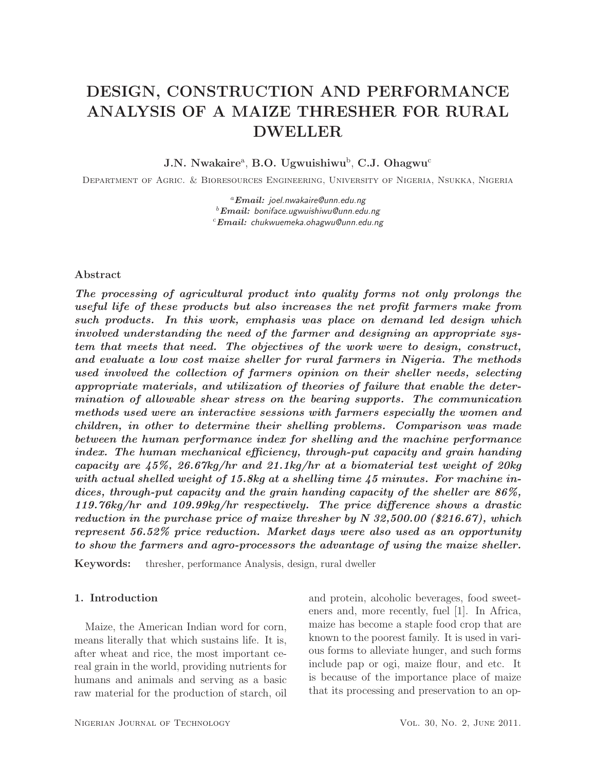# DESIGN, CONSTRUCTION AND PERFORMANCE ANALYSIS OF A MAIZE THRESHER FOR RURAL DWELLER

 $J.N.$  Nwakaire<sup>a</sup>, B.O. Ugwuishiwu<sup>b</sup>, C.J. Ohagwu<sup>c</sup>

Department of Agric. & Bioresources Engineering, University of Nigeria, Nsukka, Nigeria

<sup>a</sup>*Email:* joel.nwakaire@unn.edu.ng <sup>b</sup>*Email:* boniface.ugwuishiwu@unn.edu.ng <sup>c</sup>*Email:* chukwuemeka.ohagwu@unn.edu.ng

#### Abstract

*The processing of agricultural product into quality forms not only prolongs the useful life of these products but also increases the net profit farmers make from such products. In this work, emphasis was place on demand led design which involved understanding the need of the farmer and designing an appropriate system that meets that need. The objectives of the work were to design, construct, and evaluate a low cost maize sheller for rural farmers in Nigeria. The methods used involved the collection of farmers opinion on their sheller needs, selecting appropriate materials, and utilization of theories of failure that enable the determination of allowable shear stress on the bearing supports. The communication methods used were an interactive sessions with farmers especially the women and children, in other to determine their shelling problems. Comparison was made between the human performance index for shelling and the machine performance index. The human mechanical efficiency, through-put capacity and grain handing capacity are 45%, 26.67kg/hr and 21.1kg/hr at a biomaterial test weight of 20kg with actual shelled weight of 15.8kg at a shelling time 45 minutes. For machine indices, through-put capacity and the grain handing capacity of the sheller are 86%, 119.76kg/hr and 109.99kg/hr respectively. The price difference shows a drastic reduction in the purchase price of maize thresher by N 32,500.00 ( 216.67), which represent 56.52% price reduction. Market days were also used as an opportunity to show the farmers and agro-processors the advantage of using the maize sheller.*

Keywords: thresher, performance Analysis, design, rural dweller

## 1. Introduction

Maize, the American Indian word for corn, means literally that which sustains life. It is, after wheat and rice, the most important cereal grain in the world, providing nutrients for humans and animals and serving as a basic raw material for the production of starch, oil

and protein, alcoholic beverages, food sweeteners and, more recently, fuel [1]. In Africa, maize has become a staple food crop that are known to the poorest family. It is used in various forms to alleviate hunger, and such forms include pap or ogi, maize flour, and etc. It is because of the importance place of maize that its processing and preservation to an op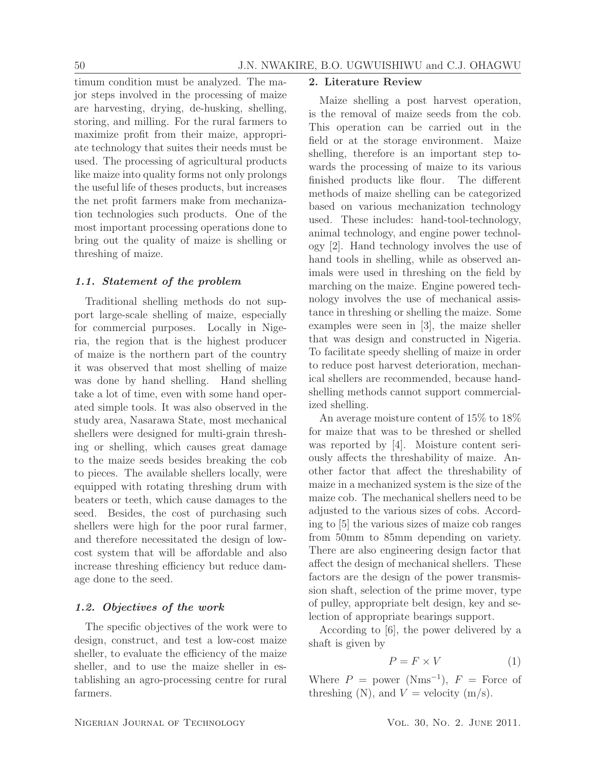timum condition must be analyzed. The major steps involved in the processing of maize are harvesting, drying, de-husking, shelling, storing, and milling. For the rural farmers to maximize profit from their maize, appropriate technology that suites their needs must be used. The processing of agricultural products like maize into quality forms not only prolongs the useful life of theses products, but increases the net profit farmers make from mechanization technologies such products. One of the most important processing operations done to bring out the quality of maize is shelling or threshing of maize.

### *1.1. Statement of the problem*

Traditional shelling methods do not support large-scale shelling of maize, especially for commercial purposes. Locally in Nigeria, the region that is the highest producer of maize is the northern part of the country it was observed that most shelling of maize was done by hand shelling. Hand shelling take a lot of time, even with some hand operated simple tools. It was also observed in the study area, Nasarawa State, most mechanical shellers were designed for multi-grain threshing or shelling, which causes great damage to the maize seeds besides breaking the cob to pieces. The available shellers locally, were equipped with rotating threshing drum with beaters or teeth, which cause damages to the seed. Besides, the cost of purchasing such shellers were high for the poor rural farmer, and therefore necessitated the design of lowcost system that will be affordable and also increase threshing efficiency but reduce damage done to the seed.

## *1.2. Objectives of the work*

The specific objectives of the work were to design, construct, and test a low-cost maize sheller, to evaluate the efficiency of the maize sheller, and to use the maize sheller in establishing an agro-processing centre for rural farmers.

### 2. Literature Review

Maize shelling a post harvest operation, is the removal of maize seeds from the cob. This operation can be carried out in the field or at the storage environment. Maize shelling, therefore is an important step towards the processing of maize to its various finished products like flour. The different methods of maize shelling can be categorized based on various mechanization technology used. These includes: hand-tool-technology, animal technology, and engine power technology [2]. Hand technology involves the use of hand tools in shelling, while as observed animals were used in threshing on the field by marching on the maize. Engine powered technology involves the use of mechanical assistance in threshing or shelling the maize. Some examples were seen in [3], the maize sheller that was design and constructed in Nigeria. To facilitate speedy shelling of maize in order to reduce post harvest deterioration, mechanical shellers are recommended, because handshelling methods cannot support commercialized shelling.

An average moisture content of 15% to 18% for maize that was to be threshed or shelled was reported by [4]. Moisture content seriously affects the threshability of maize. Another factor that affect the threshability of maize in a mechanized system is the size of the maize cob. The mechanical shellers need to be adjusted to the various sizes of cobs. According to [5] the various sizes of maize cob ranges from 50mm to 85mm depending on variety. There are also engineering design factor that affect the design of mechanical shellers. These factors are the design of the power transmission shaft, selection of the prime mover, type of pulley, appropriate belt design, key and selection of appropriate bearings support.

According to [6], the power delivered by a shaft is given by

$$
P = F \times V \tag{1}
$$

Where  $P = power (Nms^{-1}), F = Force$  of threshing (N), and  $V =$  velocity (m/s).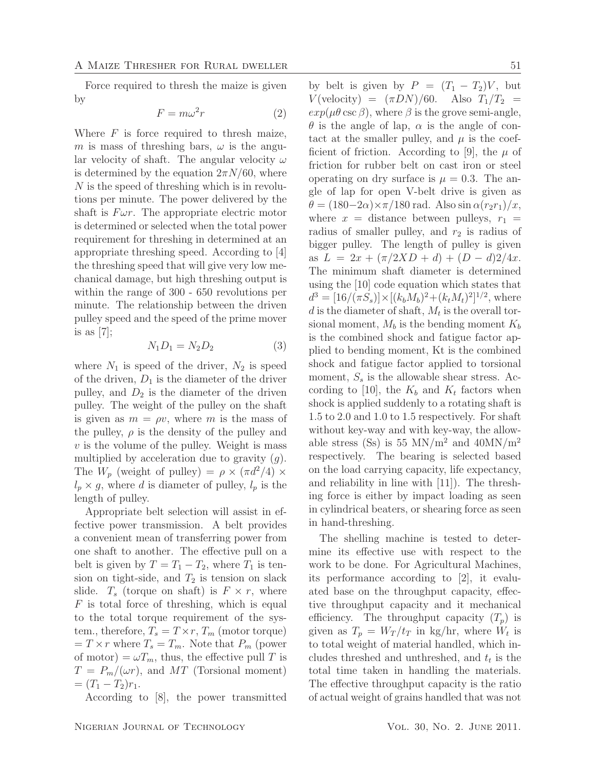Force required to thresh the maize is given by

$$
F = m\omega^2 r \tag{2}
$$

Where  $F$  is force required to thresh maize, m is mass of threshing bars,  $\omega$  is the angular velocity of shaft. The angular velocity  $\omega$ is determined by the equation  $2\pi N/60$ , where N is the speed of threshing which is in revolutions per minute. The power delivered by the shaft is  $F \omega r$ . The appropriate electric motor is determined or selected when the total power requirement for threshing in determined at an appropriate threshing speed. According to [4] the threshing speed that will give very low mechanical damage, but high threshing output is within the range of 300 - 650 revolutions per minute. The relationship between the driven pulley speed and the speed of the prime mover is as  $[7]$ ;

$$
N_1 D_1 = N_2 D_2 \tag{3}
$$

where  $N_1$  is speed of the driver,  $N_2$  is speed of the driven,  $D_1$  is the diameter of the driver pulley, and  $D_2$  is the diameter of the driven pulley. The weight of the pulley on the shaft is given as  $m = \rho v$ , where m is the mass of the pulley,  $\rho$  is the density of the pulley and  $v$  is the volume of the pulley. Weight is mass multiplied by acceleration due to gravity  $(g)$ . The  $W_p$  (weight of pulley) =  $\rho \times (\pi d^2/4) \times$  $l_p \times g$ , where d is diameter of pulley,  $l_p$  is the length of pulley.

Appropriate belt selection will assist in effective power transmission. A belt provides a convenient mean of transferring power from one shaft to another. The effective pull on a belt is given by  $T = T_1 - T_2$ , where  $T_1$  is tension on tight-side, and  $T_2$  is tension on slack slide.  $T_s$  (torque on shaft) is  $F \times r$ , where  $F$  is total force of threshing, which is equal to the total torque requirement of the system., therefore,  $T_s = T \times r$ ,  $T_m$  (motor torque)  $T = T \times r$  where  $T_s = T_m$ . Note that  $P_m$  (power of motor) =  $\omega T_m$ , thus, the effective pull T is  $T = P_m/(\omega r)$ , and MT (Torsional moment)  $=(T_1-T_2)r_1.$ 

According to [8], the power transmitted

by belt is given by  $P = (T_1 - T_2)V$ , but  $V(\text{velocity}) = (\pi DN)/60.$  Also  $T_1/T_2$  =  $exp(\mu\theta \csc \beta)$ , where  $\beta$  is the grove semi-angle,  $\theta$  is the angle of lap,  $\alpha$  is the angle of contact at the smaller pulley, and  $\mu$  is the coefficient of friction. According to [9], the  $\mu$  of friction for rubber belt on cast iron or steel operating on dry surface is  $\mu = 0.3$ . The angle of lap for open V-belt drive is given as  $\theta = (180-2\alpha)\times \pi/180$  rad. Also sin  $\alpha(r_2r_1)/x$ , where  $x =$  distance between pulleys,  $r_1 =$ radius of smaller pulley, and  $r_2$  is radius of bigger pulley. The length of pulley is given as  $L = 2x + (\pi/2XD + d) + (D - d)2/4x$ . The minimum shaft diameter is determined using the [10] code equation which states that  $d^3 = [16/(\pi S_s)] \times [(k_b M_b)^2 + (k_t M_t)^2]^{1/2}$ , where d is the diameter of shaft,  $M_t$  is the overall torsional moment,  $M_b$  is the bending moment  $K_b$ is the combined shock and fatigue factor applied to bending moment, Kt is the combined shock and fatigue factor applied to torsional moment,  $S_s$  is the allowable shear stress. According to [10], the  $K_b$  and  $K_t$  factors when shock is applied suddenly to a rotating shaft is 1.5 to 2.0 and 1.0 to 1.5 respectively. For shaft without key-way and with key-way, the allowable stress (Ss) is 55 MN/m<sup>2</sup> and  $40MN/m^2$ respectively. The bearing is selected based on the load carrying capacity, life expectancy, and reliability in line with [11]). The threshing force is either by impact loading as seen in cylindrical beaters, or shearing force as seen in hand-threshing.

The shelling machine is tested to determine its effective use with respect to the work to be done. For Agricultural Machines, its performance according to [2], it evaluated base on the throughput capacity, effective throughput capacity and it mechanical efficiency. The throughput capacity  $(T_p)$  is given as  $T_p = W_T/t_T$  in kg/hr, where  $W_t$  is to total weight of material handled, which includes threshed and unthreshed, and  $t_t$  is the total time taken in handling the materials. The effective throughput capacity is the ratio of actual weight of grains handled that was not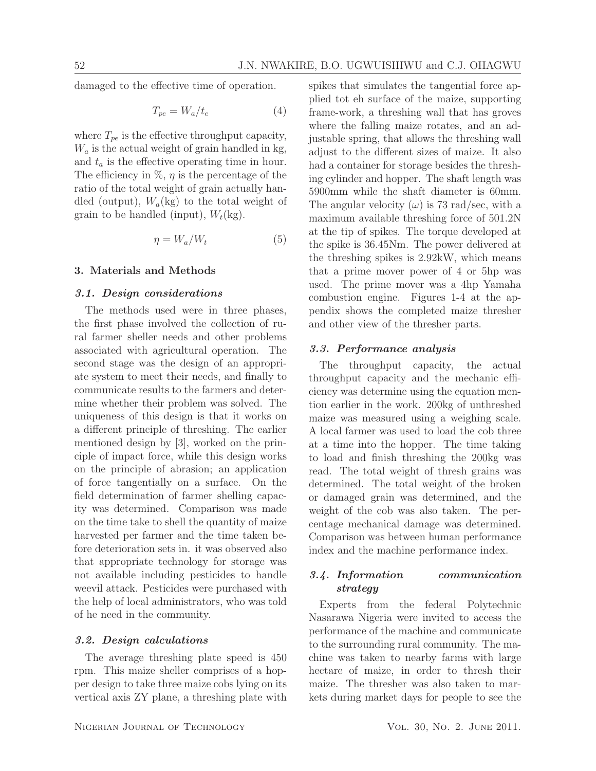damaged to the effective time of operation.

$$
T_{pe} = W_a / t_e \tag{4}
$$

where  $T_{pe}$  is the effective throughput capacity,  $W_a$  is the actual weight of grain handled in kg, and  $t_a$  is the effective operating time in hour. The efficiency in  $\%$ ,  $\eta$  is the percentage of the ratio of the total weight of grain actually handled (output),  $W_a$ (kg) to the total weight of grain to be handled (input),  $W_t$ (kg).

$$
\eta = W_a/W_t \tag{5}
$$

## 3. Materials and Methods

#### *3.1. Design considerations*

The methods used were in three phases, the first phase involved the collection of rural farmer sheller needs and other problems associated with agricultural operation. The second stage was the design of an appropriate system to meet their needs, and finally to communicate results to the farmers and determine whether their problem was solved. The uniqueness of this design is that it works on a different principle of threshing. The earlier mentioned design by [3], worked on the principle of impact force, while this design works on the principle of abrasion; an application of force tangentially on a surface. On the field determination of farmer shelling capacity was determined. Comparison was made on the time take to shell the quantity of maize harvested per farmer and the time taken before deterioration sets in. it was observed also that appropriate technology for storage was not available including pesticides to handle weevil attack. Pesticides were purchased with the help of local administrators, who was told of he need in the community.

#### *3.2. Design calculations*

The average threshing plate speed is 450 rpm. This maize sheller comprises of a hopper design to take three maize cobs lying on its vertical axis ZY plane, a threshing plate with spikes that simulates the tangential force applied tot eh surface of the maize, supporting frame-work, a threshing wall that has groves where the falling maize rotates, and an adjustable spring, that allows the threshing wall adjust to the different sizes of maize. It also had a container for storage besides the threshing cylinder and hopper. The shaft length was 5900mm while the shaft diameter is 60mm. The angular velocity  $(\omega)$  is 73 rad/sec, with a maximum available threshing force of 501.2N at the tip of spikes. The torque developed at the spike is 36.45Nm. The power delivered at the threshing spikes is 2.92kW, which means that a prime mover power of 4 or 5hp was used. The prime mover was a 4hp Yamaha combustion engine. Figures 1-4 at the appendix shows the completed maize thresher and other view of the thresher parts.

#### *3.3. Performance analysis*

The throughput capacity, the actual throughput capacity and the mechanic efficiency was determine using the equation mention earlier in the work. 200kg of unthreshed maize was measured using a weighing scale. A local farmer was used to load the cob three at a time into the hopper. The time taking to load and finish threshing the 200kg was read. The total weight of thresh grains was determined. The total weight of the broken or damaged grain was determined, and the weight of the cob was also taken. The percentage mechanical damage was determined. Comparison was between human performance index and the machine performance index.

## *3.4. Information communication strategy*

Experts from the federal Polytechnic Nasarawa Nigeria were invited to access the performance of the machine and communicate to the surrounding rural community. The machine was taken to nearby farms with large hectare of maize, in order to thresh their maize. The thresher was also taken to markets during market days for people to see the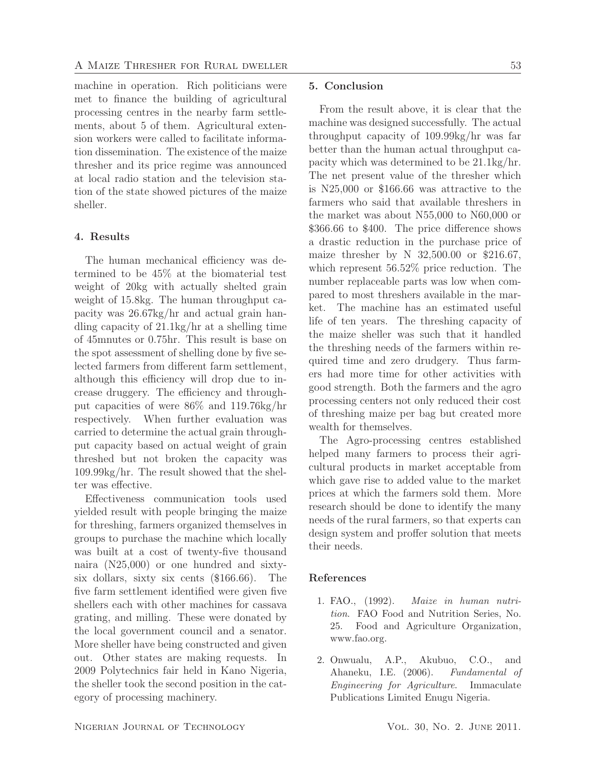machine in operation. Rich politicians were met to finance the building of agricultural processing centres in the nearby farm settlements, about 5 of them. Agricultural extension workers were called to facilitate information dissemination. The existence of the maize thresher and its price regime was announced at local radio station and the television station of the state showed pictures of the maize sheller.

## 4. Results

The human mechanical efficiency was determined to be 45% at the biomaterial test weight of 20kg with actually shelted grain weight of 15.8kg. The human throughput capacity was 26.67kg/hr and actual grain handling capacity of 21.1kg/hr at a shelling time of 45mnutes or 0.75hr. This result is base on the spot assessment of shelling done by five selected farmers from different farm settlement, although this efficiency will drop due to increase druggery. The efficiency and throughput capacities of were 86% and 119.76kg/hr respectively. When further evaluation was carried to determine the actual grain throughput capacity based on actual weight of grain threshed but not broken the capacity was 109.99kg/hr. The result showed that the shelter was effective.

Effectiveness communication tools used yielded result with people bringing the maize for threshing, farmers organized themselves in groups to purchase the machine which locally was built at a cost of twenty-five thousand naira (N25,000) or one hundred and sixtysix dollars, sixty six cents  $(\$166.66)$ . The five farm settlement identified were given five shellers each with other machines for cassava grating, and milling. These were donated by the local government council and a senator. More sheller have being constructed and given out. Other states are making requests. In 2009 Polytechnics fair held in Kano Nigeria, the sheller took the second position in the category of processing machinery.

## 5. Conclusion

From the result above, it is clear that the machine was designed successfully. The actual throughput capacity of 109.99kg/hr was far better than the human actual throughput capacity which was determined to be 21.1kg/hr. The net present value of the thresher which is  $N25,000$  or \$166.66 was attractive to the farmers who said that available threshers in the market was about N55,000 to N60,000 or \$366.66 to \$400. The price difference shows a drastic reduction in the purchase price of maize thresher by N  $32,500.00$  or \$216.67, which represent 56.52% price reduction. The number replaceable parts was low when compared to most threshers available in the market. The machine has an estimated useful life of ten years. The threshing capacity of the maize sheller was such that it handled the threshing needs of the farmers within required time and zero drudgery. Thus farmers had more time for other activities with good strength. Both the farmers and the agro processing centers not only reduced their cost of threshing maize per bag but created more wealth for themselves.

The Agro-processing centres established helped many farmers to process their agricultural products in market acceptable from which gave rise to added value to the market prices at which the farmers sold them. More research should be done to identify the many needs of the rural farmers, so that experts can design system and proffer solution that meets their needs.

## References

- 1. FAO., (1992). *Maize in human nutrition*. FAO Food and Nutrition Series, No. 25. Food and Agriculture Organization, www.fao.org.
- 2. Onwualu, A.P., Akubuo, C.O., and Ahaneku, I.E. (2006). *Fundamental of Engineering for Agriculture*. Immaculate Publications Limited Enugu Nigeria.